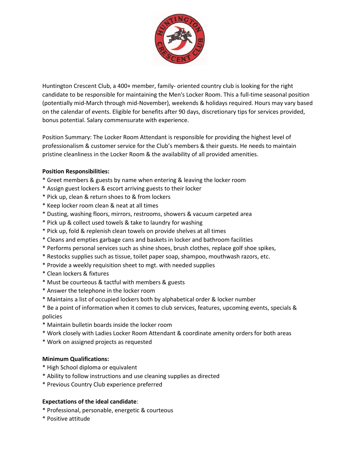

Huntington Crescent Club, a 400+ member, family- oriented country club is looking for the right candidate to be responsible for maintaining the Men's Locker Room. This a full-time seasonal position (potentially mid-March through mid-November), weekends & holidays required. Hours may vary based on the calendar of events. Eligible for benefits after 90 days, discretionary tips for services provided, bonus potential. Salary commensurate with experience.

Position Summary: The Locker Room Attendant is responsible for providing the highest level of professionalism & customer service for the Club's members & their guests. He needs to maintain pristine cleanliness in the Locker Room & the availability of all provided amenities.

## **Position Responsibilities:**

- \* Greet members & guests by name when entering & leaving the locker room
- \* Assign guest lockers & escort arriving guests to their locker
- \* Pick up, clean & return shoes to & from lockers
- \* Keep locker room clean & neat at all times
- \* Dusting, washing floors, mirrors, restrooms, showers & vacuum carpeted area
- \* Pick up & collect used towels & take to laundry for washing
- \* Pick up, fold & replenish clean towels on provide shelves at all times
- \* Cleans and empties garbage cans and baskets in locker and bathroom facilities
- \* Performs personal services such as shine shoes, brush clothes, replace golf shoe spikes,
- \* Restocks supplies such as tissue, toilet paper soap, shampoo, mouthwash razors, etc.
- \* Provide a weekly requisition sheet to mgt. with needed supplies
- \* Clean lockers & fixtures
- \* Must be courteous & tactful with members & guests
- \* Answer the telephone in the locker room
- \* Maintains a list of occupied lockers both by alphabetical order & locker number
- \* Be a point of information when it comes to club services, features, upcoming events, specials & policies
- \* Maintain bulletin boards inside the locker room
- \* Work closely with Ladies Locker Room Attendant & coordinate amenity orders for both areas
- \* Work on assigned projects as requested

## **Minimum Qualifications:**

- \* High School diploma or equivalent
- \* Ability to follow instructions and use cleaning supplies as directed
- \* Previous Country Club experience preferred

## **Expectations of the ideal candidate**:

- \* Professional, personable, energetic & courteous
- \* Positive attitude